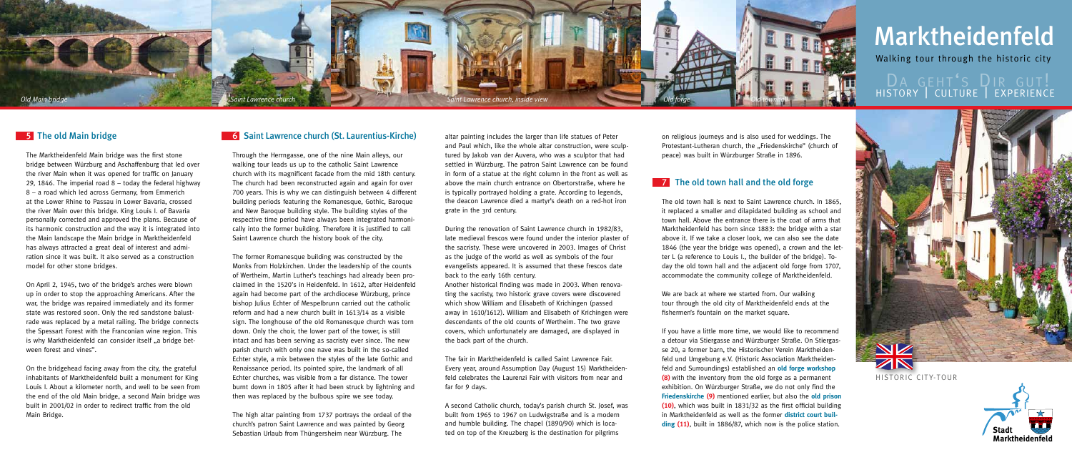

historic city-tour

# Marktheidenfeld

DA GEHT'S DIR GUT! history | culture | experience



### **5** The old Main bridge

Walking tour through the historic city

The Marktheidenfeld Main bridge was the first stone bridge between Würzburg and Aschaffenburg that led over the river Main when it was opened for traffic on January 29, 1846. The imperial road  $8 -$  today the federal highway 8 – a road which led across Germany, from Emmerich at the Lower Rhine to Passau in Lower Bavaria, crossed the river Main over this bridge. King Louis I. of Bavaria personally corrected and approved the plans. Because of its harmonic construction and the way it is integrated into the Main landscape the Main bridge in Marktheidenfeld has always attracted a great deal of interest and admiration since it was built. It also served as a construction model for other stone bridges.

On April 2, 1945, two of the bridge's arches were blown up in order to stop the approaching Americans. After the war, the bridge was repaired immediately and its former state was restored soon. Only the red sandstone balustrade was replaced by a metal railing. The bridge connects the Spessart Forest with the Franconian wine region. This is why Marktheidenfeld can consider itself ..a bridge between forest and vines".

On the bridgehead facing away from the city, the grateful inhabitants of Marktheidenfeld built a monument for King Louis I. About a kilometer north, and well to be seen from the end of the old Main bridge, a second Main bridge was built in 2001/02 in order to redirect traffic from the old Main Bridge.

## **6** Saint Lawrence church (St. Laurentius-Kirche)

Through the Herrngasse, one of the nine Main alleys, our walking tour leads us up to the catholic Saint Lawrence church with its magnificent facade from the mid 18th century. The church had been reconstructed again and again for over 700 years. This is why we can distinguish between 4 different building periods featuring the Romanesque, Gothic, Baroque and New Baroque building style. The building styles of the respective time period have always been integrated harmonically into the former building. Therefore it is justified to call Saint Lawrence church the history book of the city.

The former Romanesque building was constructed by the Monks from Holzkirchen. Under the leadership of the counts of Wertheim, Martin Luther's teachings had already been proclaimed in the 1520's in Heidenfeld. In 1612, after Heidenfeld again had become part of the archdiocese Würzburg, prince bishop Julius Echter of Mespelbrunn carried out the catholic reform and had a new church built in 1613/14 as a visible sign. The longhouse of the old Romanesque church was torn down. Only the choir, the lower part of the tower, is still intact and has been serving as sacristy ever since. The new parish church with only one nave was built in the so-called Echter style, a mix between the styles of the late Gothic and Renaissance period. Its pointed spire, the landmark of all Echter churches, was visible from a far distance. The tower burnt down in 1805 after it had been struck by lightning and then was replaced by the bulbous spire we see today.

We are back at where we started from. Our walking tour through the old city of Marktheidenfeld ends at the fishermen's fountain on the market square.

The high altar painting from 1737 portrays the ordeal of the church's patron Saint Lawrence and was painted by Georg Sebastian Urlaub from Thüngersheim near Würzburg. The

altar painting includes the larger than life statues of Peter and Paul which, like the whole altar construction, were sculptured by Jakob van der Auvera, who was a sculptor that had settled in Würzburg. The patron Saint Lawrence can be found in form of a statue at the right column in the front as well as above the main church entrance on Obertorstraße, where he is typically portrayed holding a grate. According to legends, the deacon Lawrence died a martyr's death on a red-hot iron grate in the 3rd century.

During the renovation of Saint Lawrence church in 1982/83, late medieval frescos were found under the interior plaster of the sacristy. These were uncovered in 2003. Images of Christ as the judge of the world as well as symbols of the four evangelists appeared. It is assumed that these frescos date back to the early 16th century.

Another historical finding was made in 2003. When renovating the sacristy, two historic grave covers were discovered which show William and Elisabeth of Krichingen (passed away in 1610/1612). William and Elisabeth of Krichingen were descendants of the old counts of Wertheim. The two grave covers, which unfortunately are damaged, are displayed in the back part of the church.

The fair in Marktheidenfeld is called Saint Lawrence Fair. Every year, around Assumption Day (August 15) Marktheidenfeld celebrates the Laurenzi Fair with visitors from near and far for 9 days.

A second Catholic church, today's parish church St. Josef, was built from 1965 to 1967 on Ludwigstraße and is a modern and humble building. The chapel (1890/90) which is located on top of the Kreuzberg is the destination for pilgrims

on religious journeys and is also used for weddings. The Protestant-Lutheran church, the "Friedenskirche" (church of peace) was built in Würzburger Straße in 1896.

# **7** The old town hall and the old forge

The old town hall is next to Saint Lawrence church. In 1865, it replaced a smaller and dilapidated building as school and town hall. Above the entrance there is the coat of arms that Marktheidenfeld has born since 1883: the bridge with a star above it. If we take a closer look, we can also see the date 1846 (the year the bridge was opened), a crown and the letter L (a reference to Louis I., the builder of the bridge). Today the old town hall and the adjacent old forge from 1707, accommodate the community college of Marktheidenfeld.



If you have a little more time, we would like to recommend a detour via Stiergasse and Würzburger Straße. On Stiergasse 20, a former barn, the Historischer Verein Marktheidenfeld und Umgebung e.V. (Historic Association Marktheidenfeld and Surroundings) established an **old forge workshop (8)** with the inventory from the old forge as a permanent exhibition. On Würzburger Straße, we do not only find the **Friedenskirche (9)** mentioned earlier, but also the **old prison (10)**, which was built in 1831/32 as the first official building in Marktheidenfeld as well as the former **district court building (11)**, built in 1886/87, which now is the police station.